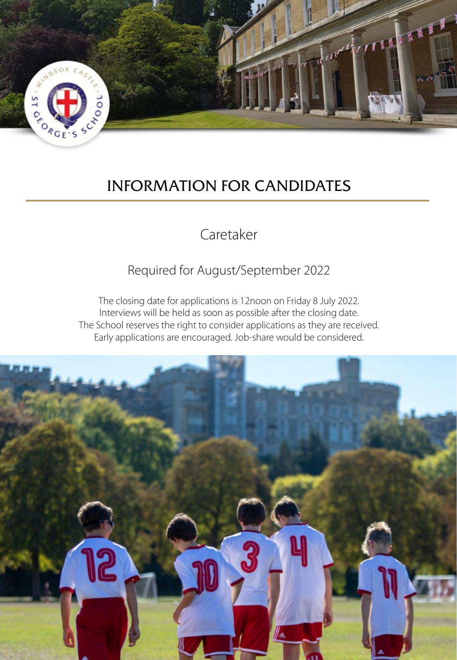

# INFORMATION FOR CANDIDATES

## Caretaker

## Required for August/September 2022

The closing date for applications is 12noon on Friday 8 July 2022. Interviews will be held as soon as possible after the closing date. The School reserves the right to consider applications as they are received. Early applications are encouraged. Job-share would be considered.

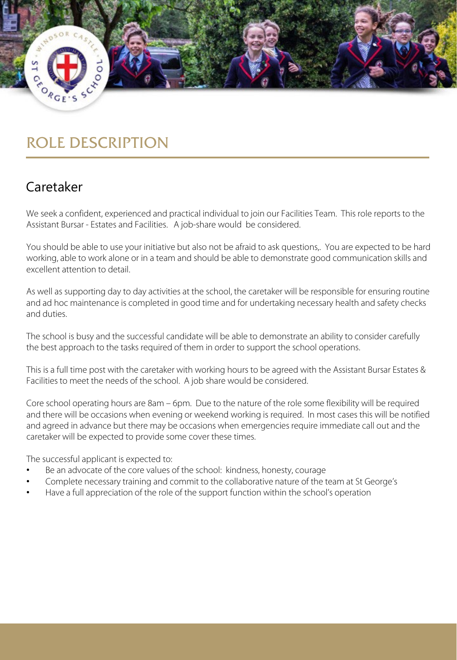

# ROLE DESCRIPTION

## Caretaker

We seek a confident, experienced and practical individual to join our Facilities Team. This role reports to the Assistant Bursar - Estates and Facilities. A job-share would be considered.

You should be able to use your initiative but also not be afraid to ask questions,. You are expected to be hard working, able to work alone or in a team and should be able to demonstrate good communication skills and excellent attention to detail.

As well as supporting day to day activities at the school, the caretaker will be responsible for ensuring routine and ad hoc maintenance is completed in good time and for undertaking necessary health and safety checks and duties.

The school is busy and the successful candidate will be able to demonstrate an ability to consider carefully the best approach to the tasks required of them in order to support the school operations.

This is a full time post with the caretaker with working hours to be agreed with the Assistant Bursar Estates & Facilities to meet the needs of the school. A job share would be considered.

Core school operating hours are 8am – 6pm. Due to the nature of the role some flexibility will be required and there will be occasions when evening or weekend working is required. In most cases this will be notified and agreed in advance but there may be occasions when emergencies require immediate call out and the caretaker will be expected to provide some cover these times.

The successful applicant is expected to:

- Be an advocate of the core values of the school: kindness, honesty, courage
- Complete necessary training and commit to the collaborative nature of the team at St George's
- Have a full appreciation of the role of the support function within the school's operation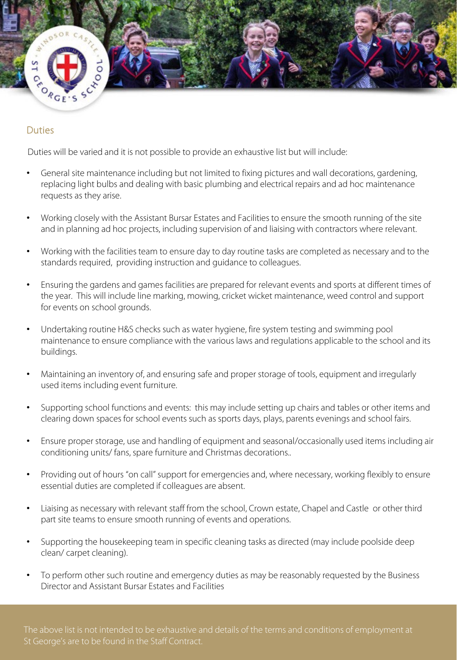

#### **Duties**

Duties will be varied and it is not possible to provide an exhaustive list but will include:

- General site maintenance including but not limited to fixing pictures and wall decorations, gardening, replacing light bulbs and dealing with basic plumbing and electrical repairs and ad hoc maintenance requests as they arise.
- Working closely with the Assistant Bursar Estates and Facilities to ensure the smooth running of the site and in planning ad hoc projects, including supervision of and liaising with contractors where relevant.
- Working with the facilities team to ensure day to day routine tasks are completed as necessary and to the standards required, providing instruction and guidance to colleagues.
- Ensuring the gardens and games facilities are prepared for relevant events and sports at different times of the year. This will include line marking, mowing, cricket wicket maintenance, weed control and support for events on school grounds.
- Undertaking routine H&S checks such as water hygiene, fire system testing and swimming pool maintenance to ensure compliance with the various laws and regulations applicable to the school and its buildings.
- Maintaining an inventory of, and ensuring safe and proper storage of tools, equipment and irregularly used items including event furniture.
- Supporting school functions and events: this may include setting up chairs and tables or other items and clearing down spaces for school events such as sports days, plays, parents evenings and school fairs.
- Ensure proper storage, use and handling of equipment and seasonal/occasionally used items including air conditioning units/ fans, spare furniture and Christmas decorations..
- Providing out of hours "on call" support for emergencies and, where necessary, working flexibly to ensure essential duties are completed if colleagues are absent.
- Liaising as necessary with relevant staff from the school, Crown estate, Chapel and Castle or other third part site teams to ensure smooth running of events and operations.
- Supporting the housekeeping team in specific cleaning tasks as directed (may include poolside deep clean/ carpet cleaning).
- To perform other such routine and emergency duties as may be reasonably requested by the Business Director and Assistant Bursar Estates and Facilities

The above list is not intended to be exhaustive and details of the terms and conditions of employment at St George's are to be found in the Staff Contract.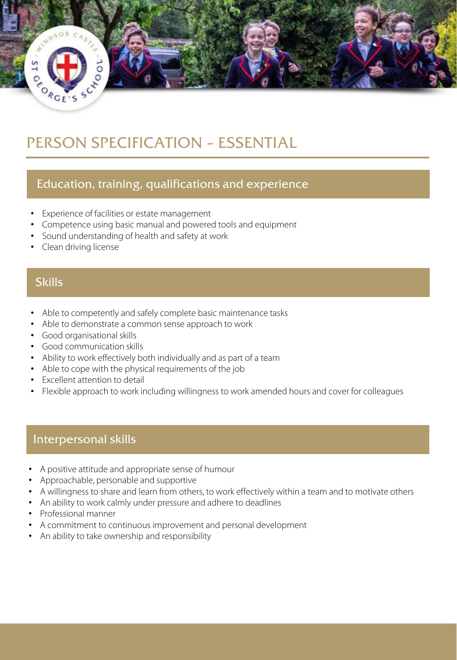

# PERSON SPECIFICATION – ESSENTIAL

### Education, training, qualifications and experience

- Experience of facilities or estate management
- Competence using basic manual and powered tools and equipment
- Sound understanding of health and safety at work
- Clean driving license

### Skills

- Able to competently and safely complete basic maintenance tasks
- Able to demonstrate a common sense approach to work
- Good organisational skills
- Good communication skills
- Ability to work effectively both individually and as part of a team
- Able to cope with the physical requirements of the job
- Excellent attention to detail
- Flexible approach to work including willingness to work amended hours and cover for colleagues

#### Interpersonal skills

- A positive attitude and appropriate sense of humour
- Approachable, personable and supportive
- A willingness to share and learn from others, to work effectively within a team and to motivate others
- An ability to work calmly under pressure and adhere to deadlines
- Professional manner
- A commitment to continuous improvement and personal development
- An ability to take ownership and responsibility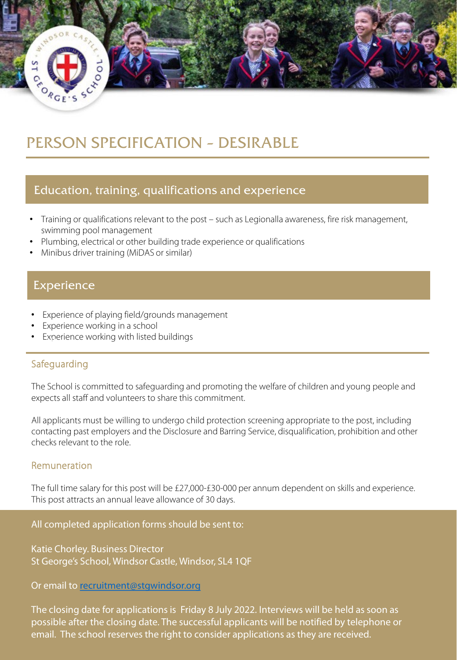

# PERSON SPECIFICATION – DESIRABLE

### Education, training, qualifications and experience

- Training or qualifications relevant to the post such as Legionalla awareness, fire risk management, swimming pool management
- Plumbing, electrical or other building trade experience or qualifications
- Minibus driver training (MiDAS or similar)

### Experience

- Experience of playing field/grounds management
- Experience working in a school
- Experience working with listed buildings

#### **Safeguarding**

The School is committed to safeguarding and promoting the welfare of children and young people and expects all staff and volunteers to share this commitment.

All applicants must be willing to undergo child protection screening appropriate to the post, including contacting past employers and the Disclosure and Barring Service, disqualification, prohibition and other checks relevant to the role.

#### Remuneration

The full time salary for this post will be £27,000-£30-000 per annum dependent on skills and experience. This post attracts an annual leave allowance of 30 days.

All completed application forms should be sent to:

Katie Chorley. Business Director St George's School, Windsor Castle, Windsor, SL4 1QF

#### Or email to [recruitment@stgwindsor.org](mailto:headmaster@stgwindsor.org)

The closing date for applications is Friday 8 July 2022. Interviews will be held as soon as possible after the closing date. The successful applicants will be notified by telephone or email. The school reserves the right to consider applications as they are received.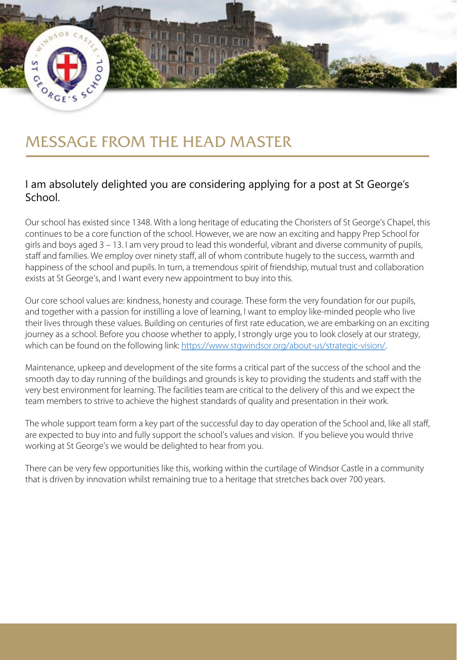

# MESSAGE FROM THE HEAD MASTER

### I am absolutely delighted you are considering applying for a post at St George's School.

Our school has existed since 1348. With a long heritage of educating the Choristers of St George's Chapel, this continues to be a core function of the school. However, we are now an exciting and happy Prep School for girls and boys aged 3 – 13. I am very proud to lead this wonderful, vibrant and diverse community of pupils, staff and families. We employ over ninety staff, all of whom contribute hugely to the success, warmth and happiness of the school and pupils. In turn, a tremendous spirit of friendship, mutual trust and collaboration exists at St George's, and I want every new appointment to buy into this.

Our core school values are: kindness, honesty and courage. These form the very foundation for our pupils, and together with a passion for instilling a love of learning, I want to employ like-minded people who live their lives through these values. Building on centuries of first rate education, we are embarking on an exciting journey as a school. Before you choose whether to apply, I strongly urge you to look closely at our strategy, which can be found on the following link: [https://www.stgwindsor.org/about-us/strategic-vision/.](https://www.stgwindsor.org/about-us/strategic-vision/)

Maintenance, upkeep and development of the site forms a critical part of the success of the school and the smooth day to day running of the buildings and grounds is key to providing the students and staff with the very best environment for learning. The facilities team are critical to the delivery of this and we expect the team members to strive to achieve the highest standards of quality and presentation in their work.

The whole support team form a key part of the successful day to day operation of the School and, like all staff, are expected to buy into and fully support the school's values and vision. If you believe you would thrive working at St George's we would be delighted to hear from you.

There can be very few opportunities like this, working within the curtilage of Windsor Castle in a community that is driven by innovation whilst remaining true to a heritage that stretches back over 700 years.